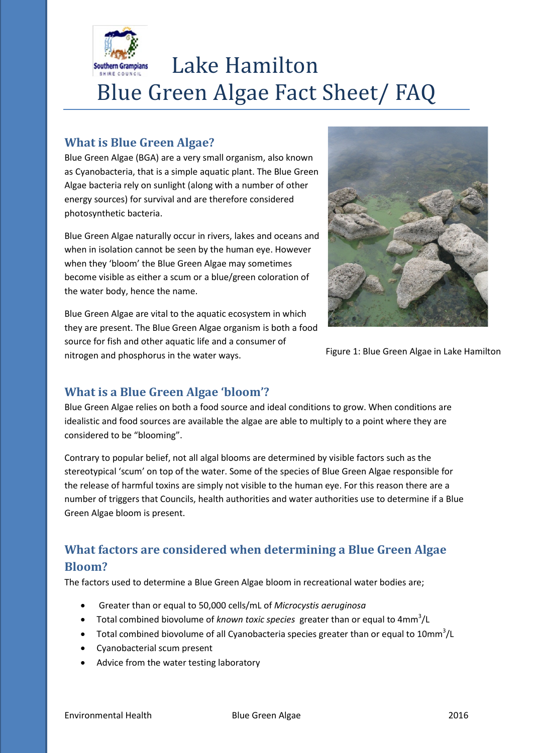

# Lake Hamilton Blue Green Algae Fact Sheet/ FAQ

## **What is Blue Green Algae?**

Blue Green Algae (BGA) are a very small organism, also known as Cyanobacteria, that is a simple aquatic plant. The Blue Green Algae bacteria rely on sunlight (along with a number of other energy sources) for survival and are therefore considered photosynthetic bacteria.

Blue Green Algae naturally occur in rivers, lakes and oceans and when in isolation cannot be seen by the human eye. However when they 'bloom' the Blue Green Algae may sometimes become visible as either a scum or a blue/green coloration of the water body, hence the name.

Blue Green Algae are vital to the aquatic ecosystem in which they are present. The Blue Green Algae organism is both a food source for fish and other aquatic life and a consumer of nitrogen and phosphorus in the water ways.



Figure 1: Blue Green Algae in Lake Hamilton

## **What is a Blue Green Algae 'bloom'?**

Blue Green Algae relies on both a food source and ideal conditions to grow. When conditions are idealistic and food sources are available the algae are able to multiply to a point where they are considered to be "blooming".

Contrary to popular belief, not all algal blooms are determined by visible factors such as the stereotypical 'scum' on top of the water. Some of the species of Blue Green Algae responsible for the release of harmful toxins are simply not visible to the human eye. For this reason there are a number of triggers that Councils, health authorities and water authorities use to determine if a Blue Green Algae bloom is present.

## **What factors are considered when determining a Blue Green Algae Bloom?**

The factors used to determine a Blue Green Algae bloom in recreational water bodies are;

- Greater than or equal to 50,000 cells/mL of *Microcystis aeruginosa*
- Total combined biovolume of *known toxic species* greater than or equal to 4mm<sup>3</sup> /L
- Total combined biovolume of all Cyanobacteria species greater than or equal to  $10mm<sup>3</sup>/L$
- Cyanobacterial scum present
- Advice from the water testing laboratory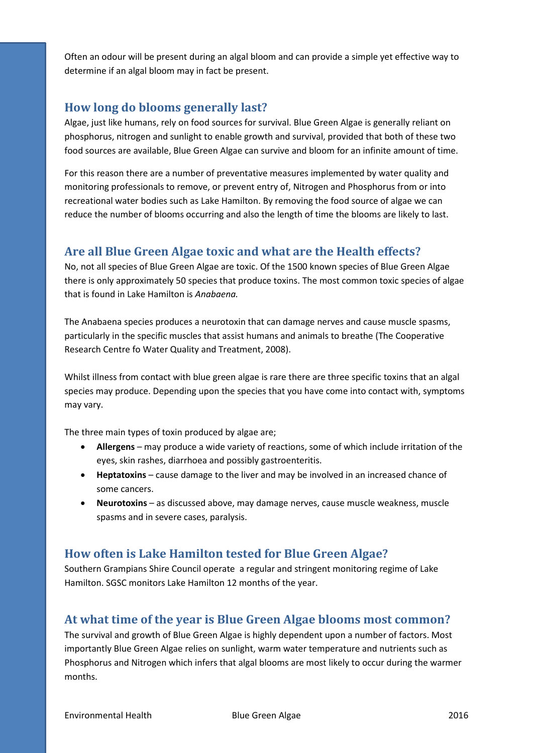Often an odour will be present during an algal bloom and can provide a simple yet effective way to determine if an algal bloom may in fact be present.

## **How long do blooms generally last?**

Algae, just like humans, rely on food sources for survival. Blue Green Algae is generally reliant on phosphorus, nitrogen and sunlight to enable growth and survival, provided that both of these two food sources are available, Blue Green Algae can survive and bloom for an infinite amount of time.

For this reason there are a number of preventative measures implemented by water quality and monitoring professionals to remove, or prevent entry of, Nitrogen and Phosphorus from or into recreational water bodies such as Lake Hamilton. By removing the food source of algae we can reduce the number of blooms occurring and also the length of time the blooms are likely to last.

#### **Are all Blue Green Algae toxic and what are the Health effects?**

No, not all species of Blue Green Algae are toxic. Of the 1500 known species of Blue Green Algae there is only approximately 50 species that produce toxins. The most common toxic species of algae that is found in Lake Hamilton is *Anabaena.*

The Anabaena species produces a neurotoxin that can damage nerves and cause muscle spasms, particularly in the specific muscles that assist humans and animals to breathe (The Cooperative Research Centre fo Water Quality and Treatment, 2008).

Whilst illness from contact with blue green algae is rare there are three specific toxins that an algal species may produce. Depending upon the species that you have come into contact with, symptoms may vary.

The three main types of toxin produced by algae are;

- **Allergens** may produce a wide variety of reactions, some of which include irritation of the eyes, skin rashes, diarrhoea and possibly gastroenteritis.
- **Heptatoxins** cause damage to the liver and may be involved in an increased chance of some cancers.
- **Neurotoxins** as discussed above, may damage nerves, cause muscle weakness, muscle spasms and in severe cases, paralysis.

## **How often is Lake Hamilton tested for Blue Green Algae?**

Southern Grampians Shire Council operate a regular and stringent monitoring regime of Lake Hamilton. SGSC monitors Lake Hamilton 12 months of the year.

## **At what time of the year is Blue Green Algae blooms most common?**

The survival and growth of Blue Green Algae is highly dependent upon a number of factors. Most importantly Blue Green Algae relies on sunlight, warm water temperature and nutrients such as Phosphorus and Nitrogen which infers that algal blooms are most likely to occur during the warmer months.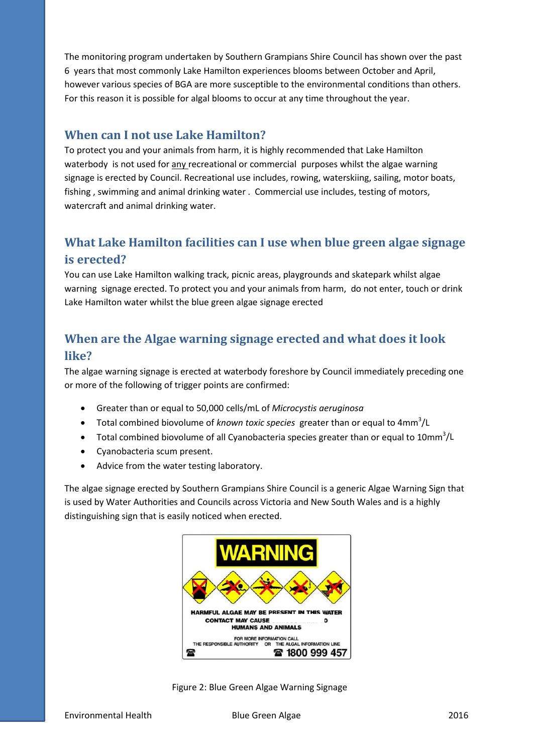The monitoring program undertaken by Southern Grampians Shire Council has shown over the past 6 years that most commonly Lake Hamilton experiences blooms between October and April, however various species of BGA are more susceptible to the environmental conditions than others. For this reason it is possible for algal blooms to occur at any time throughout the year.

#### **When can I not use Lake Hamilton?**

To protect you and your animals from harm, it is highly recommended that Lake Hamilton waterbody is not used for any recreational or commercial purposes whilst the algae warning signage is erected by Council. Recreational use includes, rowing, waterskiing, sailing, motor boats, fishing , swimming and animal drinking water . Commercial use includes, testing of motors, watercraft and animal drinking water.

## **What Lake Hamilton facilities can I use when blue green algae signage is erected?**

You can use Lake Hamilton walking track, picnic areas, playgrounds and skatepark whilst algae warning signage erected. To protect you and your animals from harm, do not enter, touch or drink Lake Hamilton water whilst the blue green algae signage erected

## **When are the Algae warning signage erected and what does it look like?**

The algae warning signage is erected at waterbody foreshore by Council immediately preceding one or more of the following of trigger points are confirmed:

- Greater than or equal to 50,000 cells/mL of *Microcystis aeruginosa*
- Total combined biovolume of *known toxic species* greater than or equal to 4mm<sup>3</sup>/L
- Total combined biovolume of all Cyanobacteria species greater than or equal to  $10\text{mm}^3/\text{L}$
- Cyanobacteria scum present.
- Advice from the water testing laboratory.

The algae signage erected by Southern Grampians Shire Council is a generic Algae Warning Sign that is used by Water Authorities and Councils across Victoria and New South Wales and is a highly distinguishing sign that is easily noticed when erected.



Figure 2: Blue Green Algae Warning Signage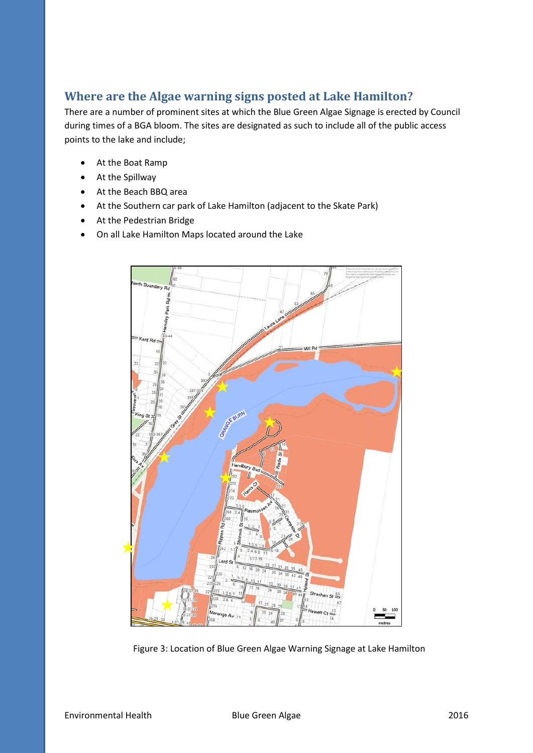## **Where are the Algae warning signs posted at Lake Hamilton?**

There are a number of prominent sites at which the Blue Green Algae Signage is erected by Council during times of a BGA bloom. The sites are designated as such to include all of the public access points to the lake and include;

- At the Boat Ramp
- At the Spillway
- At the Beach BBQ area
- At the Southern car park of Lake Hamilton (adjacent to the Skate Park)
- At the Pedestrian Bridge
- On all Lake Hamilton Maps located around the Lake



Figure 3: Location of Blue Green Algae Warning Signage at Lake Hamilton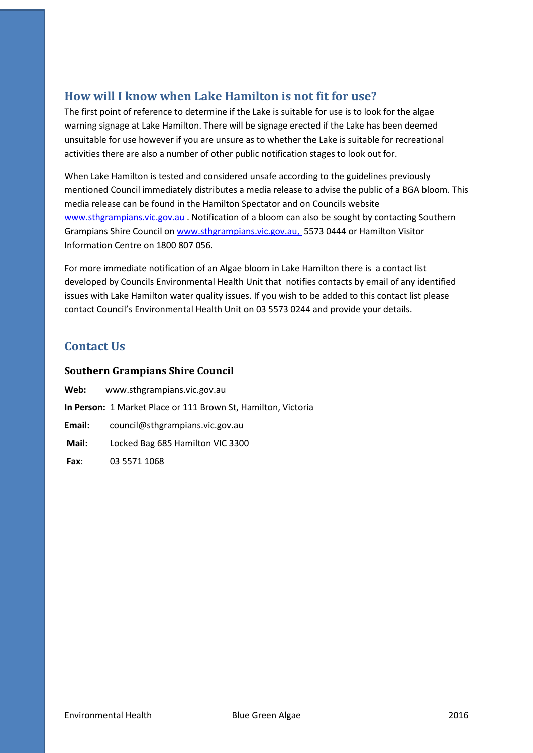## **How will I know when Lake Hamilton is not fit for use?**

The first point of reference to determine if the Lake is suitable for use is to look for the algae warning signage at Lake Hamilton. There will be signage erected if the Lake has been deemed unsuitable for use however if you are unsure as to whether the Lake is suitable for recreational activities there are also a number of other public notification stages to look out for.

When Lake Hamilton is tested and considered unsafe according to the guidelines previously mentioned Council immediately distributes a media release to advise the public of a BGA bloom. This media release can be found in the Hamilton Spectator and on Councils website [www.sthgrampians.vic.gov.au](http://www.sthgrampians.vic.gov.au/) . Notification of a bloom can also be sought by contacting Southern Grampians Shire Council on [www.sthgrampians.vic.gov.au,](http://www.sthgrampians.vic.gov.au/) 5573 0444 or Hamilton Visitor Information Centre on 1800 807 056.

For more immediate notification of an Algae bloom in Lake Hamilton there is a contact list developed by Councils Environmental Health Unit that notifies contacts by email of any identified issues with Lake Hamilton water quality issues. If you wish to be added to this contact list please contact Council's Environmental Health Unit on 03 5573 0244 and provide your details.

## **Contact Us**

#### **Southern Grampians Shire Council**

| Web:   | www.sthgrampians.vic.gov.au                                          |
|--------|----------------------------------------------------------------------|
|        | <b>In Person:</b> 1 Market Place or 111 Brown St, Hamilton, Victoria |
| Email: | council@sthgrampians.vic.gov.au                                      |
| Mail:  | Locked Bag 685 Hamilton VIC 3300                                     |
| Fax:   | 03 5571 1068                                                         |